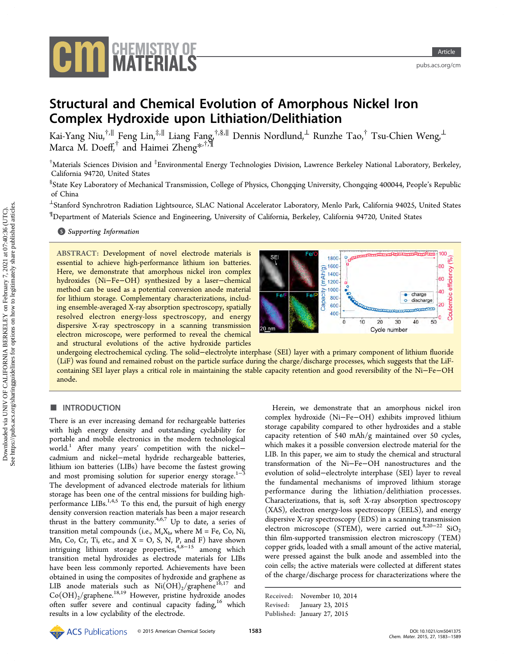

<pubs.acs.org/cm>

# Structural and Chemical Evolution of Amorphous Nickel Iron Complex Hydroxide upon Lithiation/Delithiation

Kai-Yang Niu,<sup>†,[∥](#page-5-0)</sup> Feng Lin,<sup>‡,∥</sup> Liang Fang,<sup>†,§,∥</sup> Dennis Nordlund,<sup>⊥</sup> Runzhe Tao,<sup>†</sup> Tsu-Chien Weng,<sup>⊥</sup> Marca M. Doeff, $^\dagger$  and Haimei Zheng $^{\ast,\dagger,\P}$ 

 $^\dagger$ Materials Sciences Division and  $^{\ddagger}$ Environmental Energy Technologies Division, Lawrence Berkeley National Laboratory, Berkeley, California 94720, United States

<sup>§</sup>State Key Laboratory of Mechanical Transmission, College of Physics, Chongqing University, Chongqing 400044, People's Republic of China

 $^{\perp}$ Stanford Synchrotron Radiation Lightsource, SLAC National Accelerator Laboratory, Menlo Park, California 94025, United States ¶ Department of Materials Science and Engineering, University of California, Berkeley, California 94720, United States

**S** [Supporting Information](#page-5-0)

ABSTRACT: Development of novel electrode materials is essential to achieve high-performance lithium ion batteries. Here, we demonstrate that amorphous nickel iron complex hydroxides (Ni−Fe−OH) synthesized by a laser−chemical method can be used as a potential conversion anode material for lithium storage. Complementary characterizations, including ensemble-averaged X-ray absorption spectroscopy, spatially resolved electron energy-loss spectroscopy, and energy dispersive X-ray spectroscopy in a scanning transmission electron microscope, were performed to reveal the chemical and structural evolutions of the active hydroxide particles



undergoing electrochemical cycling. The solid−electrolyte interphase (SEI) layer with a primary component of lithium fluoride (LiF) was found and remained robust on the particle surface during the charge/discharge processes, which suggests that the LiFcontaining SEI layer plays a critical role in maintaining the stable capacity retention and good reversibility of the Ni−Fe−OH anode.

# ■ INTRODUCTION

There is an ever increasing demand for rechargeable batteries with high energy density and outstanding cyclability for portable and mobile electronics in the modern technological world.<sup>[1](#page-5-0)</sup> After many years' competition with the nickel− cadmium and nickel−metal hydride rechargeable batteries, lithium ion batteries (LIBs) have become the fastest growing and most promising solution for superior energy storage. $1-3$  $1-3$  $1-3$ The development of advanced electrode materials for lithium storage has been one of the central missions for building highperformance  $LIBs$ <sup>[1,4,5](#page-5-0)</sup> To this end, the pursuit of high energy density conversion reaction materials has been a major research thrust in the battery community.<sup>[4](#page-5-0),[6](#page-5-0),[7](#page-5-0)</sup> Up to date, a series of transition metal compounds (i.e.,  $M_a X_b$ , where  $M = Fe$ , Co, Ni, Mn, Co, Cr, Ti, etc., and  $X = O$ , S, N, P, and F) have shown intriguing lithium storage properties,<sup>[4,8](#page-5-0)-[15](#page-5-0)</sup> among which transition metal hydroxides as electrode materials for LIBs have been less commonly reported. Achievements have been obtained in using the composites of hydroxide and graphene as LIB anode materials such as  $Ni(OH)_2/graphene^{16,17}$  $Ni(OH)_2/graphene^{16,17}$  $Ni(OH)_2/graphene^{16,17}$  $Ni(OH)_2/graphene^{16,17}$  $Ni(OH)_2/graphene^{16,17}$  and  $Co(OH)_2$ /graphene.<sup>[18](#page-5-0),[19](#page-5-0)</sup> However, pristine hydroxide anodes often suffer severe and continual capacity fading,<sup>[16](#page-5-0)</sup> which results in a low cyclability of the electrode.

Herein, we demonstrate that an amorphous nickel iron complex hydroxide (Ni−Fe−OH) exhibits improved lithium storage capability compared to other hydroxides and a stable capacity retention of 540 mAh/g maintained over 50 cycles, which makes it a possible conversion electrode material for the LIB. In this paper, we aim to study the chemical and structural transformation of the Ni−Fe−OH nanostructures and the evolution of solid−electrolyte interphase (SEI) layer to reveal the fundamental mechanisms of improved lithium storage performance during the lithiation/delithiation processes. Characterizations, that is, soft X-ray absorption spectroscopy (XAS), electron energy-loss spectroscopy (EELS), and energy dispersive X-ray spectroscopy (EDS) in a scanning transmission electron microscope (STEM), were carried out.<sup>[8](#page-5-0),[20](#page-5-0)−[22](#page-5-0)</sup> SiO<sub>2</sub> thin film-supported transmission electron microscopy (TEM) copper grids, loaded with a small amount of the active material, were pressed against the bulk anode and assembled into the coin cells; the active materials were collected at different states of the charge/discharge process for characterizations where the

Received: November 10, 2014 Revised: January 23, 2015 Published: January 27, 2015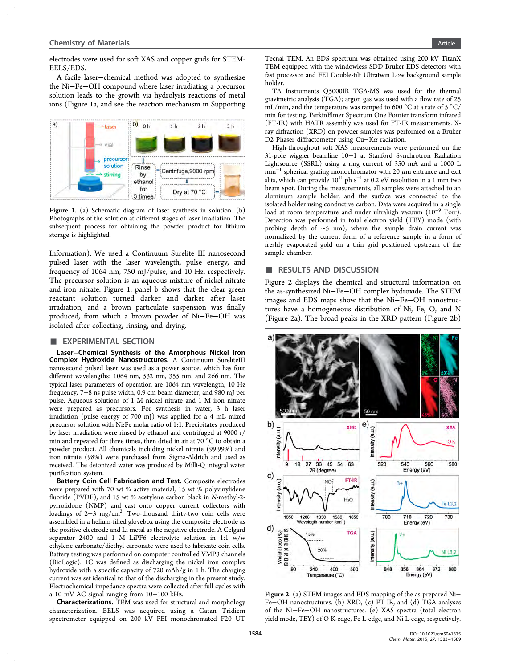<span id="page-1-0"></span>electrodes were used for soft XAS and copper grids for STEM-EELS/EDS.

A facile laser−chemical method was adopted to synthesize the Ni−Fe−OH compound where laser irradiating a precursor solution leads to the growth via hydrolysis reactions of metal ions (Figure 1a, and see the reaction mechanism in [Supporting](#page-5-0)



Figure 1. (a) Schematic diagram of laser synthesis in solution. (b) Photographs of the solution at different stages of laser irradiation. The subsequent process for obtaining the powder product for lithium storage is highlighted.

[Information\)](#page-5-0). We used a Continuum Surelite III nanosecond pulsed laser with the laser wavelength, pulse energy, and frequency of 1064 nm, 750 mJ/pulse, and 10 Hz, respectively. The precursor solution is an aqueous mixture of nickel nitrate and iron nitrate. Figure 1, panel b shows that the clear green reactant solution turned darker and darker after laser irradiation, and a brown particulate suspension was finally produced, from which a brown powder of Ni−Fe−OH was isolated after collecting, rinsing, and drying.

#### **EXPERIMENTAL SECTION**

Laser−Chemical Synthesis of the Amorphous Nickel Iron Complex Hydroxide Nanostructures. A Continuum SureliteIII nanosecond pulsed laser was used as a power source, which has four different wavelengths: 1064 nm, 532 nm, 355 nm, and 266 nm. The typical laser parameters of operation are 1064 nm wavelength, 10 Hz frequency, 7−8 ns pulse width, 0.9 cm beam diameter, and 980 mJ per pulse. Aqueous solutions of 1 M nickel nitrate and 1 M iron nitrate were prepared as precursors. For synthesis in water, 3 h laser irradiation (pulse energy of 700 mJ) was applied for a 4 mL mixed precursor solution with Ni:Fe molar ratio of 1:1. Precipitates produced by laser irradiation were rinsed by ethanol and centrifuged at 9000 r/ min and repeated for three times, then dried in air at 70 °C to obtain a powder product. All chemicals including nickel nitrate (99.99%) and iron nitrate (98%) were purchased from Sigma-Aldrich and used as received. The deionized water was produced by Milli-Q integral water purification system.

Battery Coin Cell Fabrication and Test. Composite electrodes were prepared with 70 wt % active material, 15 wt % polyvinylidene fluoride (PVDF), and 15 wt % acetylene carbon black in N-methyl-2 pyrrolidone (NMP) and cast onto copper current collectors with loadings of 2–3 mg/cm<sup>2</sup>. Two-thousand thirty-two coin cells were assembled in a helium-filled glovebox using the composite electrode as the positive electrode and Li metal as the negative electrode. A Celgard separator 2400 and 1 M LiPF6 electrolyte solution in 1:1 w/w ethylene carbonate/diethyl carbonate were used to fabricate coin cells. Battery testing was performed on computer controlled VMP3 channels (BioLogic). 1C was defined as discharging the nickel iron complex hydroxide with a specific capacity of 720 mAh/g in 1 h. The charging current was set identical to that of the discharging in the present study. Electrochemical impedance spectra were collected after full cycles with a 10 mV AC signal ranging from 10−100 kHz.

Characterizations. TEM was used for structural and morphology characterization. EELS was acquired using a Gatan Tridiem spectrometer equipped on 200 kV FEI monochromated F20 UT Tecnai TEM. An EDS spectrum was obtained using 200 kV TitanX TEM equipped with the windowless SDD Bruker EDS detectors with fast processor and FEI Double-tilt Ultratwin Low background sample holder.

TA Instruments Q5000IR TGA-MS was used for the thermal gravimetric analysis (TGA); argon gas was used with a flow rate of 25 mL/min, and the temperature was ramped to 600  $^{\circ}$ C at a rate of 5  $^{\circ}$ C/ min for testing. PerkinElmer Spectrum One Fourier transform infrared (FT-IR) with HATR assembly was used for FT-IR measurements. Xray diffraction (XRD) on powder samples was performed on a Bruker D2 Phaser diffractometer using Cu–Kα radiation.

High-throughput soft XAS measurements were performed on the 31-pole wiggler beamline 10−1 at Stanford Synchrotron Radiation Lightsource (SSRL) using a ring current of 350 mA and a 1000 L  $mm^{-1}$  spherical grating monochromator with 20  $\mu$ m entrance and exit slits, which can provide  $10^{11}$  ph s<sup>-1</sup> at 0.2 eV resolution in a 1 mm two beam spot. During the measurements, all samples were attached to an aluminum sample holder, and the surface was connected to the isolated holder using conductive carbon. Data were acquired in a single load at room temperature and under ultrahigh vacuum (10<sup>−</sup><sup>9</sup> Torr). Detection was performed in total electron yield (TEY) mode (with probing depth of ∼5 nm), where the sample drain current was normalized by the current form of a reference sample in a form of freshly evaporated gold on a thin grid positioned upstream of the sample chamber.

# ■ RESULTS AND DISCUSSION

Figure 2 displays the chemical and structural information on the as-synthesized Ni−Fe−OH complex hydroxide. The STEM images and EDS maps show that the Ni−Fe−OH nanostructures have a homogeneous distribution of Ni, Fe, O, and N (Figure 2a). The broad peaks in the XRD pattern (Figure 2b)



Figure 2. (a) STEM images and EDS mapping of the as-prepared Ni− Fe−OH nanostructures. (b) XRD, (c) FT-IR, and (d) TGA analyses of the Ni−Fe−OH nanostructures. (e) XAS spectra (total electron yield mode, TEY) of O K-edge, Fe L-edge, and Ni L-edge, respectively.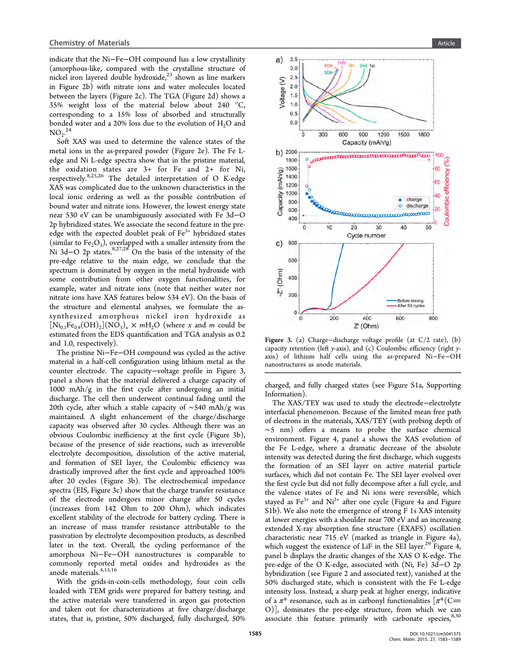indicate that the Ni−Fe−OH compound has a low crystallinity (amorphous-like, compared with the crystalline structure of nickel iron layered double hydroxide, $^{23}$  $^{23}$  $^{23}$  shown as line markers in Figure [2](#page-1-0)b) with nitrate ions and water molecules located between the layers (Figure [2c](#page-1-0)). The TGA (Figure [2d](#page-1-0)) shows a 35% weight loss of the material below about 240 °C, corresponding to a 15% loss of absorbed and structurally bonded water and a 20% loss due to the evolution of  $H_2O$  and  $NO_2$ <sup>[24](#page-5-0)</sup>

Soft XAS was used to determine the valence states of the metal ions in the as-prepared powder (Figure [2](#page-1-0)e). The Fe Ledge and Ni L-edge spectra show that in the pristine material, the oxidation states are 3+ for Fe and 2+ for Ni, respectively.<sup>[8](#page-5-0)[,25](#page-6-0),[26](#page-6-0)</sup> The detailed interpretation of O K-edge XAS was complicated due to the unknown characteristics in the local ionic ordering as well as the possible contribution of bound water and nitrate ions. However, the lowest energy state near 530 eV can be unambiguously associated with Fe 3d−O 2p hybridized states. We associate the second feature in the preedge with the expected doublet peak of  $Fe<sup>3+</sup>$  hybridized states (similar to  $Fe<sub>2</sub>O<sub>3</sub>$ ), overlapped with a smaller intensity from the Ni 3d–O 2p states.<sup>[8,](#page-5-0)[27](#page-6-0),[28](#page-6-0)</sup> On the basis of the intensity of the pre-edge relative to the main edge, we conclude that the spectrum is dominated by oxygen in the metal hydroxide with some contribution from other oxygen functionalities, for example, water and nitrate ions (note that neither water nor nitrate ions have XAS features below 534 eV). On the basis of the structure and elemental analyses, we formulate the assynthesized amorphous nickel iron hydroxide as  $[Ni_{0.1}Fe_{0.9}(OH)_2](NO_3)_x \times mH_2O$  (where x and m could be estimated from the EDS quantification and TGA analysis as 0.2 and 1.0, respectively).

The pristine Ni−Fe−OH compound was cycled as the active material in a half-cell configuration using lithium metal as the counter electrode. The capacity−voltage profile in Figure 3, panel a shows that the material delivered a charge capacity of 1000 mAh/g in the first cycle after undergoing an initial discharge. The cell then underwent continual fading until the 20th cycle, after which a stable capacity of ∼540 mAh/g was maintained. A slight enhancement of the charge/discharge capacity was observed after 30 cycles. Although there was an obvious Coulombic inefficiency at the first cycle (Figure 3b), because of the presence of side reactions, such as irreversible electrolyte decomposition, dissolution of the active material, and formation of SEI layer, the Coulombic efficiency was drastically improved after the first cycle and approached 100% after 20 cycles (Figure 3b). The electrochemical impedance spectra (EIS, Figure 3c) show that the charge transfer resistance of the electrode undergoes minor change after 50 cycles (increases from 142 Ohm to 200 Ohm), which indicates excellent stability of the electrode for battery cycling. There is an increase of mass transfer resistance attributable to the passivation by electrolyte decomposition products, as described later in the text. Overall, the cycling performance of the amorphous Ni−Fe−OH nanostructures is comparable to commonly reported metal oxides and hydroxides as the anode materials.<sup>[4,15](#page-5-0),[16](#page-5-0)</sup>

With the grids-in-coin-cells methodology, four coin cells loaded with TEM grids were prepared for battery testing, and the active materials were transferred in argon gas protection and taken out for characterizations at five charge/discharge states, that is, pristine, 50% discharged, fully discharged, 50%

<span id="page-2-0"></span>

Figure 3. (a) Charge−discharge voltage profile (at C/2 rate), (b) capacity retention (left y-axis), and (c) Coulombic efficiency (right yaxis) of lithium half cells using the as-prepared Ni−Fe−OH nanostructures as anode materials.

charged, and fully charged states (see Figure S1a, [Supporting](#page-5-0) [Information\)](#page-5-0).

The XAS/TEY was used to study the electrode−electrolyte interfacial phenomenon. Because of the limited mean free path of electrons in the materials, XAS/TEY (with probing depth of ∼5 nm) offers a means to probe the surface chemical environment. Figure [4](#page-3-0), panel a shows the XAS evolution of the Fe L-edge, where a dramatic decrease of the absolute intensity was detected during the first discharge, which suggests the formation of an SEI layer on active material particle surfaces, which did not contain Fe. The SEI layer evolved over the first cycle but did not fully decompose after a full cycle, and the valence states of Fe and Ni ions were reversible, which stayed as  $Fe^{3+}$  and  $Ni^{2+}$  after one cycle (Figure [4a](#page-3-0) and [Figure](#page-5-0) [S1b\)](#page-5-0). We also note the emergence of strong F 1s XAS intensity at lower energies with a shoulder near 700 eV and an increasing extended X-ray absorption fine structure (EXAFS) oscillation characteristic near 715 eV (marked as triangle in Figure [4a](#page-3-0)), which suggest the existence of LiF in the SEI layer.<sup>[29](#page-6-0)</sup> Figure [4,](#page-3-0) panel b displays the drastic changes of the XAS O K-edge. The pre-edge of the O K-edge, associated with (Ni, Fe) 3d−O 2p hybridization (see Figure [2](#page-1-0) and associated text), vanished at the 50% discharged state, which is consistent with the Fe L-edge intensity loss. Instead, a sharp peak at higher energy, indicative of a  $\pi^*$  resonance, such as in carbonyl functionalities  $[\pi^*(C =$ O)], dominates the pre-edge structure, from which we can associate this feature primarily with carbonate species,  $8,30$  $8,30$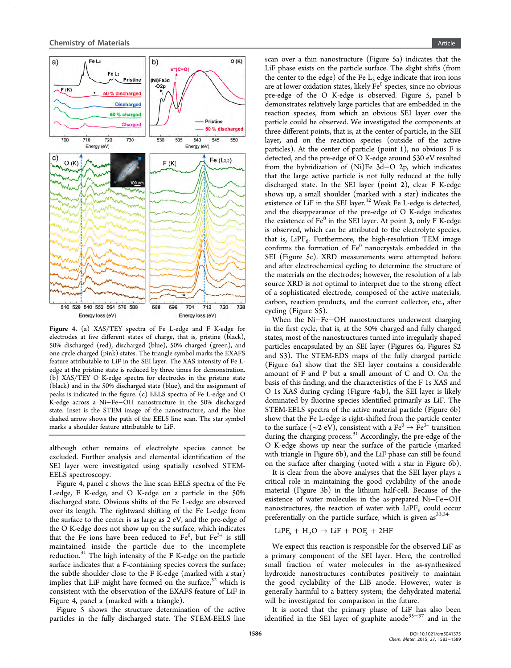<span id="page-3-0"></span>

Figure 4. (a) XAS/TEY spectra of Fe L-edge and F K-edge for electrodes at five different states of charge, that is, pristine (black), 50% discharged (red), discharged (blue), 50% charged (green), and one cycle charged (pink) states. The triangle symbol marks the EXAFS feature attributable to LiF in the SEI layer. The XAS intensity of Fe Ledge at the pristine state is reduced by three times for demonstration. (b) XAS/TEY O K-edge spectra for electrodes in the pristine state (black) and in the 50% discharged state (blue), and the assignment of peaks is indicated in the figure. (c) EELS spectra of Fe L-edge and O K-edge across a Ni−Fe−OH nanostructure in the 50% discharged state. Inset is the STEM image of the nanostructure, and the blue dashed arrow shows the path of the EELS line scan. The star symbol marks a shoulder feature attributable to LiF.

although other remains of electrolyte species cannot be excluded. Further analysis and elemental identification of the SEI layer were investigated using spatially resolved STEM-EELS spectroscopy.

Figure 4, panel c shows the line scan EELS spectra of the Fe L-edge, F K-edge, and O K-edge on a particle in the 50% discharged state. Obvious shifts of the Fe L-edge are observed over its length. The rightward shifting of the Fe L-edge from the surface to the center is as large as 2 eV, and the pre-edge of the O K-edge does not show up on the surface, which indicates that the Fe ions have been reduced to  $Fe^0$ , but  $Fe^{3+}$  is still maintained inside the particle due to the incomplete reduction.<sup>[31](#page-6-0)</sup> The high intensity of the F K-edge on the particle surface indicates that a F-containing species covers the surface; the subtle shoulder close to the F K-edge (marked with a star) implies that LiF might have formed on the surface, $32$  which is consistent with the observation of the EXAFS feature of LiF in Figure 4, panel a (marked with a triangle).

Figure [5](#page-4-0) shows the structure determination of the active particles in the fully discharged state. The STEM-EELS line

scan over a thin nanostructure (Figure [5](#page-4-0)a) indicates that the LiF phase exists on the particle surface. The slight shifts (from the center to the edge) of the Fe  $L_3$  edge indicate that iron ions are at lower oxidation states, likely  $Fe<sup>0</sup>$  species, since no obvious pre-edge of the O K-edge is observed. Figure [5](#page-4-0), panel b demonstrates relatively large particles that are embedded in the reaction species, from which an obvious SEI layer over the particle could be observed. We investigated the components at three different points, that is, at the center of particle, in the SEI layer, and on the reaction species (outside of the active particles). At the center of particle (point 1), no obvious F is detected, and the pre-edge of O K-edge around 530 eV resulted from the hybridization of (Ni)Fe 3d−O 2p, which indicates that the large active particle is not fully reduced at the fully discharged state. In the SEI layer (point 2), clear F K-edge shows up, a small shoulder (marked with a star) indicates the existence of LiF in the SEI layer.<sup>[32](#page-6-0)</sup> Weak Fe L-edge is detected, and the disappearance of the pre-edge of O K-edge indicates the existence of  $Fe<sup>0</sup>$  in the SEI layer. At point 3, only F K-edge is observed, which can be attributed to the electrolyte species, that is,  $LIPF<sub>6</sub>$ . Furthermore, the high-resolution TEM image confirms the formation of Fe<sup>0</sup> nanocrystals embedded in the SEI (Figure [5](#page-4-0)c). XRD measurements were attempted before and after electrochemical cycling to determine the structure of the materials on the electrodes; however, the resolution of a lab source XRD is not optimal to interpret due to the strong effect of a sophisticated electrode, composed of the active materials, carbon, reaction products, and the current collector, etc., after cycling ([Figure S5\)](#page-5-0).

When the Ni−Fe−OH nanostructures underwent charging in the first cycle, that is, at the 50% charged and fully charged states, most of the nanostructures turned into irregularly shaped particles encapsulated by an SEI layer (Figures [6](#page-5-0)a, [Figures S2](#page-5-0) [and S3\)](#page-5-0). The STEM-EDS maps of the fully charged particle (Figure [6a](#page-5-0)) show that the SEI layer contains a considerable amount of F and P but a small amount of C and O. On the basis of this finding, and the characteristics of the F 1s XAS and O 1s XAS during cycling (Figure 4a,b), the SEI layer is likely dominated by fluorine species identified primarily as LiF. The STEM-EELS spectra of the active material particle (Figure [6b](#page-5-0)) show that the Fe L-edge is right-shifted from the particle center to the surface (∼2 eV), consistent with a Fe<sup>0</sup> → Fe<sup>3+</sup> transition during the charging process.<sup>[31](#page-6-0)</sup> Accordingly, the pre-edge of the O K-edge shows up near the surface of the particle (marked with triangle in Figure [6b](#page-5-0)), and the LiF phase can still be found on the surface after charging (noted with a star in Figure [6b](#page-5-0)).

It is clear from the above analyses that the SEI layer plays a critical role in maintaining the good cyclability of the anode material (Figure [3b](#page-2-0)) in the lithium half-cell. Because of the existence of water molecules in the as-prepared Ni−Fe−OH nanostructures, the reaction of water with  $LiPF_6$  could occur preferentially on the particle surface, which is given  $as^{33,34}$  $as^{33,34}$  $as^{33,34}$ 

$$
LiPF_6 + H_2O \rightarrow LiF + POF_3 + 2HF
$$

We expect this reaction is responsible for the observed LiF as a primary component of the SEI layer. Here, the controlled small fraction of water molecules in the as-synthesized hydroxide nanostructures contributes positively to maintain the good cyclability of the LIB anode. However, water is generally harmful to a battery system; the dehydrated material will be investigated for comparison in the future.

It is noted that the primary phase of LiF has also been identified in the SEI layer of graphite anode<sup>[35](#page-6-0)−[37](#page-6-0)</sup> and in the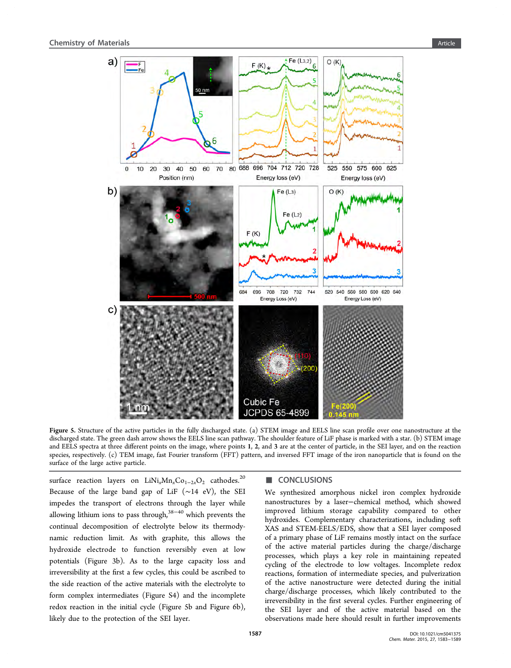<span id="page-4-0"></span>

Figure 5. Structure of the active particles in the fully discharged state. (a) STEM image and EELS line scan profile over one nanostructure at the discharged state. The green dash arrow shows the EELS line scan pathway. The shoulder feature of LiF phase is marked with a star. (b) STEM image and EELS spectra at three different points on the image, where points 1, 2, and 3 are at the center of particle, in the SEI layer, and on the reaction species, respectively. (c) TEM image, fast Fourier transform (FFT) pattern, and inversed FFT image of the iron nanoparticle that is found on the surface of the large active particle.

surface reaction layers on LiNi<sub>x</sub>Mn<sub>x</sub>Co<sub>1−2x</sub>O<sub>2</sub> cathodes.<sup>[20](#page-5-0)</sup> Because of the large band gap of LiF (∼14 eV), the SEI impedes the transport of electrons through the layer while allowing lithium ions to pass through, $38-40$  $38-40$  $38-40$  which prevents the continual decomposition of electrolyte below its thermodynamic reduction limit. As with graphite, this allows the hydroxide electrode to function reversibly even at low potentials (Figure [3](#page-2-0)b). As to the large capacity loss and irreversibility at the first a few cycles, this could be ascribed to the side reaction of the active materials with the electrolyte to form complex intermediates ([Figure S4\)](#page-5-0) and the incomplete redox reaction in the initial cycle (Figure 5b and Figure [6b](#page-5-0)), likely due to the protection of the SEI layer.

### ■ CONCLUSIONS

We synthesized amorphous nickel iron complex hydroxide nanostructures by a laser−chemical method, which showed improved lithium storage capability compared to other hydroxides. Complementary characterizations, including soft XAS and STEM-EELS/EDS, show that a SEI layer composed of a primary phase of LiF remains mostly intact on the surface of the active material particles during the charge/discharge processes, which plays a key role in maintaining repeated cycling of the electrode to low voltages. Incomplete redox reactions, formation of intermediate species, and pulverization of the active nanostructure were detected during the initial charge/discharge processes, which likely contributed to the irreversibility in the first several cycles. Further engineering of the SEI layer and of the active material based on the observations made here should result in further improvements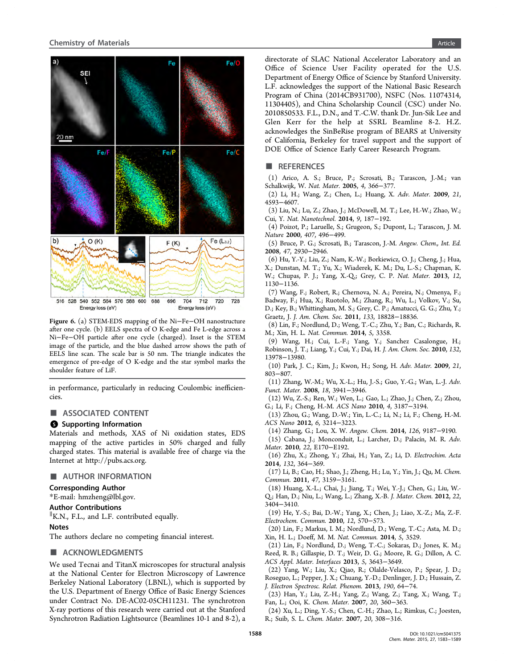<span id="page-5-0"></span>

Figure 6. (a) STEM-EDS mapping of the Ni−Fe−OH nanostructure after one cycle. (b) EELS spectra of O K-edge and Fe L-edge across a Ni−Fe−OH particle after one cycle (charged). Inset is the STEM image of the particle, and the blue dashed arrow shows the path of EELS line scan. The scale bar is 50 nm. The triangle indicates the emergence of pre-edge of O K-edge and the star symbol marks the shoulder feature of LiF.

in performance, particularly in reducing Coulombic inefficiencies.

## ■ ASSOCIATED CONTENT

## **6** Supporting Information

Materials and methods, XAS of Ni oxidation states, EDS mapping of the active particles in 50% charged and fully charged states. This material is available free of charge via the Internet at<http://pubs.acs.org>.

#### ■ AUTHOR INFORMATION

#### Corresponding Author

\*E-mail: [hmzheng@lbl.gov.](mailto:hmzheng@lbl.gov)

#### Author Contributions

∥ K.N., F.L., and L.F. contributed equally.

#### Notes

The authors declare no competing financial interest.

#### ■ ACKNOWLEDGMENTS

We used Tecnai and TitanX microscopes for structural analysis at the National Center for Electron Microscopy of Lawrence Berkeley National Laboratory (LBNL), which is supported by the U.S. Department of Energy Office of Basic Energy Sciences under Contract No. DE-AC02-05CH11231. The synchrotron X-ray portions of this research were carried out at the Stanford Synchrotron Radiation Lightsource (Beamlines 10-1 and 8-2), a

directorate of SLAC National Accelerator Laboratory and an Office of Science User Facility operated for the U.S. Department of Energy Office of Science by Stanford University. L.F. acknowledges the support of the National Basic Research Program of China (2014CB931700), NSFC (Nos. 11074314, 11304405), and China Scholarship Council (CSC) under No. 2010850533. F.L., D.N., and T.-C.W. thank Dr. Jun-Sik Lee and Glen Kerr for the help at SSRL Beamline 8-2. H.Z. acknowledges the SinBeRise program of BEARS at University of California, Berkeley for travel support and the support of DOE Office of Science Early Career Research Program.

#### ■ REFERENCES

(1) Arico, A. S.; Bruce, P.; Scrosati, B.; Tarascon, J.-M.; van Schalkwijk, W. Nat. Mater. 2005, 4, 366−377.

(2) Li, H.; Wang, Z.; Chen, L.; Huang, X. Adv. Mater. 2009, 21, 4593−4607.

(3) Liu, N.; Lu, Z.; Zhao, J.; McDowell, M. T.; Lee, H.-W.; Zhao, W.; Cui, Y. Nat. Nanotechnol. 2014, 9, 187−192.

(4) Poizot, P.; Laruelle, S.; Grugeon, S.; Dupont, L.; Tarascon, J. M. Nature 2000, 407, 496−499.

(5) Bruce, P. G.; Scrosati, B.; Tarascon, J.-M. Angew. Chem., Int. Ed. 2008, 47, 2930−2946.

(6) Hu, Y.-Y.; Liu, Z.; Nam, K.-W.; Borkiewicz, O. J.; Cheng, J.; Hua,

X.; Dunstan, M. T.; Yu, X.; Wiaderek, K. M.; Du, L.-S.; Chapman, K. W.; Chupas, P. J.; Yang, X.-Q.; Grey, C. P. Nat. Mater. 2013, 12, 1130−1136.

(7) Wang, F.; Robert, R.; Chernova, N. A.; Pereira, N.; Omenya, F.; Badway, F.; Hua, X.; Ruotolo, M.; Zhang, R.; Wu, L.; Volkov, V.; Su, D.; Key, B.; Whittingham, M. S.; Grey, C. P.; Amatucci, G. G.; Zhu, Y.; Graetz, J. J. Am. Chem. Soc. 2011, 133, 18828−18836.

(8) Lin, F.; Nordlund, D.; Weng, T.-C.; Zhu, Y.; Ban, C.; Richards, R. M.; Xin, H. L. Nat. Commun. 2014, 5, 3358.

(9) Wang, H.; Cui, L.-F.; Yang, Y.; Sanchez Casalongue, H.; Robinson, J. T.; Liang, Y.; Cui, Y.; Dai, H. J. Am. Chem. Soc. 2010, 132, 13978−13980.

(10) Park, J. C.; Kim, J.; Kwon, H.; Song, H. Adv. Mater. 2009, 21, 803−807.

(11) Zhang, W.-M.; Wu, X.-L.; Hu, J.-S.; Guo, Y.-G.; Wan, L.-J. Adv. Funct. Mater. 2008, 18, 3941−3946.

(12) Wu, Z.-S.; Ren, W.; Wen, L.; Gao, L.; Zhao, J.; Chen, Z.; Zhou, G.; Li, F.; Cheng, H.-M. ACS Nano 2010, 4, 3187−3194.

(13) Zhou, G.; Wang, D.-W.; Yin, L.-C.; Li, N.; Li, F.; Cheng, H.-M. ACS Nano 2012, 6, 3214−3223.

(14) Zhang, G.; Lou, X. W. Angew. Chem. 2014, 126, 9187−9190.

(15) Cabana, J.; Monconduit, L.; Larcher, D.; Palacín, M. R. Adv. Mater. 2010, 22, E170−E192.

(16) Zhu, X.; Zhong, Y.; Zhai, H.; Yan, Z.; Li, D. Electrochim. Acta 2014, 132, 364−369.

(17) Li, B.; Cao, H.; Shao, J.; Zheng, H.; Lu, Y.; Yin, J.; Qu, M. Chem. Commun. 2011, 47, 3159−3161.

(18) Huang, X.-L.; Chai, J.; Jiang, T.; Wei, Y.-J.; Chen, G.; Liu, W.- Q.; Han, D.; Niu, L.; Wang, L.; Zhang, X.-B. J. Mater. Chem. 2012, 22, 3404−3410.

(19) He, Y.-S.; Bai, D.-W.; Yang, X.; Chen, J.; Liao, X.-Z.; Ma, Z.-F. Electrochem. Commun. 2010, 12, 570−573.

(20) Lin, F.; Markus, I. M.; Nordlund, D.; Weng, T.-C.; Asta, M. D.; Xin, H. L.; Doeff, M. M. Nat. Commun. 2014, 5, 3529.

(21) Lin, F.; Nordlund, D.; Weng, T.-C.; Sokaras, D.; Jones, K. M.; Reed, R. B.; Gillaspie, D. T.; Weir, D. G.; Moore, R. G.; Dillon, A. C. ACS Appl. Mater. Interfaces 2013, 5, 3643−3649.

(22) Yang, W.; Liu, X.; Qiao, R.; Olalde-Velasco, P.; Spear, J. D.; Roseguo, L.; Pepper, J. X.; Chuang, Y.-D.; Denlinger, J. D.; Hussain, Z. J. Electron Spectrosc. Relat. Phenom. 2013, 190, 64−74.

(23) Han, Y.; Liu, Z.-H.; Yang, Z.; Wang, Z.; Tang, X.; Wang, T.; Fan, L.; Ooi, K. Chem. Mater. 2007, 20, 360−363.

(24) Xu, L.; Ding, Y.-S.; Chen, C.-H.; Zhao, L.; Rimkus, C.; Joesten, R.; Suib, S. L. Chem. Mater. 2007, 20, 308−316.